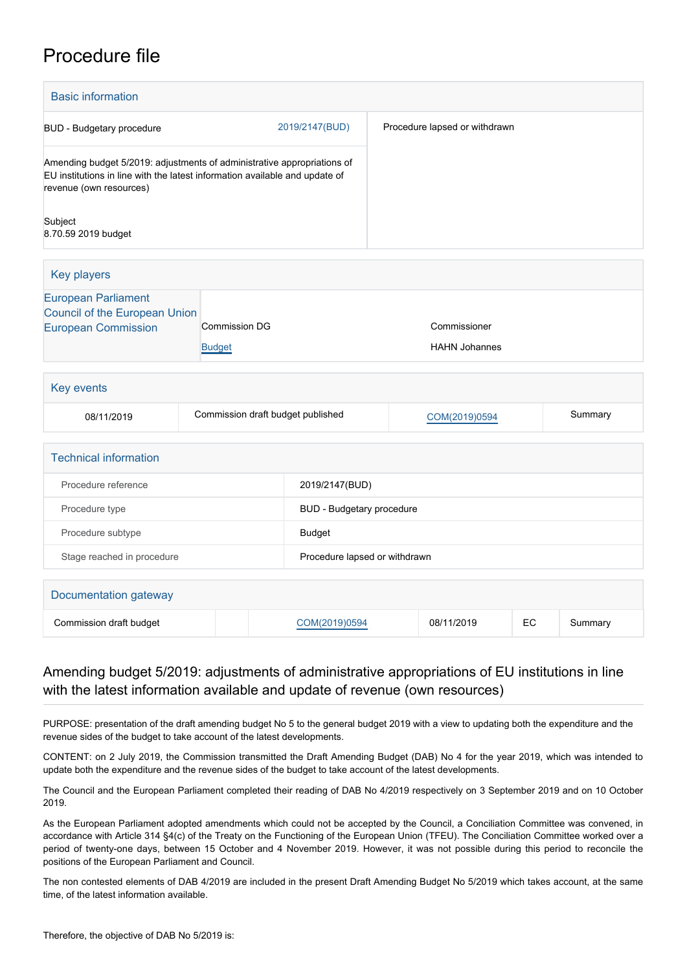# Procedure file

| <b>Basic information</b>                                                                                                                                                          |                                   |  |                                  |                                      |                               |    |         |
|-----------------------------------------------------------------------------------------------------------------------------------------------------------------------------------|-----------------------------------|--|----------------------------------|--------------------------------------|-------------------------------|----|---------|
| <b>BUD</b> - Budgetary procedure                                                                                                                                                  |                                   |  | 2019/2147(BUD)                   |                                      | Procedure lapsed or withdrawn |    |         |
| Amending budget 5/2019: adjustments of administrative appropriations of<br>EU institutions in line with the latest information available and update of<br>revenue (own resources) |                                   |  |                                  |                                      |                               |    |         |
| Subject<br>8.70.59 2019 budget                                                                                                                                                    |                                   |  |                                  |                                      |                               |    |         |
| <b>Key players</b>                                                                                                                                                                |                                   |  |                                  |                                      |                               |    |         |
| <b>European Parliament</b><br><b>Council of the European Union</b><br><b>European Commission</b><br><b>Commission DG</b><br><b>Budget</b>                                         |                                   |  |                                  | Commissioner<br><b>HAHN Johannes</b> |                               |    |         |
| Key events                                                                                                                                                                        |                                   |  |                                  |                                      |                               |    |         |
| 08/11/2019                                                                                                                                                                        | Commission draft budget published |  |                                  |                                      | COM(2019)0594                 |    | Summary |
| <b>Technical information</b>                                                                                                                                                      |                                   |  |                                  |                                      |                               |    |         |
| Procedure reference                                                                                                                                                               |                                   |  | 2019/2147(BUD)                   |                                      |                               |    |         |
| Procedure type                                                                                                                                                                    |                                   |  | <b>BUD</b> - Budgetary procedure |                                      |                               |    |         |
| Procedure subtype                                                                                                                                                                 |                                   |  | <b>Budget</b>                    |                                      |                               |    |         |
| Stage reached in procedure                                                                                                                                                        |                                   |  | Procedure lapsed or withdrawn    |                                      |                               |    |         |
| Documentation gateway                                                                                                                                                             |                                   |  |                                  |                                      |                               |    |         |
| Commission draft budget                                                                                                                                                           |                                   |  | COM(2019)0594                    |                                      | 08/11/2019                    | EC | Summary |

## Amending budget 5/2019: adjustments of administrative appropriations of EU institutions in line with the latest information available and update of revenue (own resources)

PURPOSE: presentation of the draft amending budget No 5 to the general budget 2019 with a view to updating both the expenditure and the revenue sides of the budget to take account of the latest developments.

CONTENT: on 2 July 2019, the Commission transmitted the Draft Amending Budget (DAB) No 4 for the year 2019, which was intended to update both the expenditure and the revenue sides of the budget to take account of the latest developments.

The Council and the European Parliament completed their reading of DAB No 4/2019 respectively on 3 September 2019 and on 10 October 2019.

As the European Parliament adopted amendments which could not be accepted by the Council, a Conciliation Committee was convened, in accordance with Article 314 §4(c) of the Treaty on the Functioning of the European Union (TFEU). The Conciliation Committee worked over a period of twenty-one days, between 15 October and 4 November 2019. However, it was not possible during this period to reconcile the positions of the European Parliament and Council.

The non contested elements of DAB 4/2019 are included in the present Draft Amending Budget No 5/2019 which takes account, at the same time, of the latest information available.